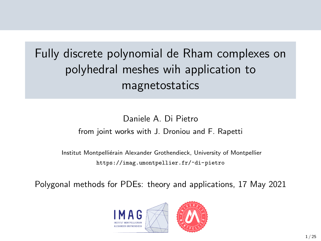# Fully discrete polynomial de Rham complexes on polyhedral meshes wih application to magnetostatics

#### Daniele A. Di Pietro from joint works with J. Droniou and F. Rapetti

Institut Montpelliérain Alexander Grothendieck, University of Montpellier <https://imag.umontpellier.fr/~di-pietro>

Polygonal methods for PDEs: theory and applications, 17 May 2021

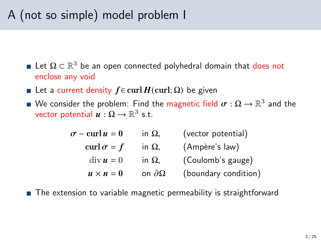# A (not so simple) model problem I

- Let  $\Omega \subset \mathbb{R}^3$  be an open connected polyhedral domain that does not enclose any void
- **■** Let a current density  $f \in \text{curl } H(\text{curl}; \Omega)$  be given
- We consider the problem: Find the <mark>magnetic field  $\boldsymbol{\sigma}:\Omega\to\mathbb{R}^3$  and the</mark> vector potential  $\boldsymbol{u}:\Omega\to\mathbb{R}^3$  s.t.

| $\sigma$ – curl $u=0$            | in $\Omega$ ,       | (vector potential)   |
|----------------------------------|---------------------|----------------------|
| curl $\sigma = f$                | in $\Omega$ ,       | (Ampère's law)       |
| $\mathrm{div}\,\boldsymbol{u}=0$ | in $\Omega$ ,       | (Coulomb's gauge)    |
| $u \times n = 0$                 | on $\partial\Omega$ | (boundary condition) |

■ The extension to variable magnetic permeability is straightforward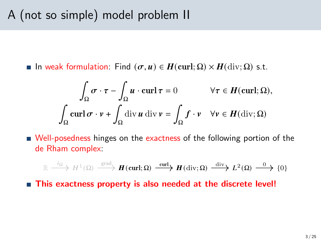**■** In weak formulation: Find  $(σ, u) ∈ H$ (curl; Ω)  $× H$ (div; Ω) s.t.

$$
\int_{\Omega} \sigma \cdot \tau - \int_{\Omega} u \cdot \operatorname{curl} \tau = 0 \qquad \forall \tau \in H(\operatorname{curl}; \Omega),
$$

$$
\int_{\Omega} \operatorname{curl} \sigma \cdot v + \int_{\Omega} \operatorname{div} u \operatorname{div} v = \int_{\Omega} f \cdot v \quad \forall v \in H(\operatorname{div}; \Omega)
$$

■ Well-posedness hinges on the exactness of the following portion of the de Rham complex:

$$
\mathbb{R} \xrightarrow{i_{\Omega}} H^{1}(\Omega) \xrightarrow{\text{grad}} \mathbf{H}(\text{curl};\Omega) \xrightarrow{\text{curl}} \mathbf{H}(\text{div};\Omega) \xrightarrow{\text{div}} L^{2}(\Omega) \xrightarrow{0} \{0\}
$$

■ This exactness property is also needed at the discrete level!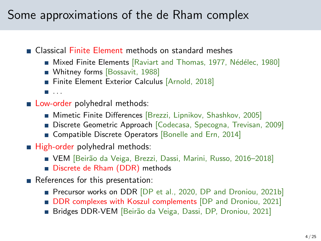## Some approximations of the de Rham complex

Classical Finite Element methods on standard meshes

- Mixed Finite Elements [\[Raviart and Thomas, 1977,](#page-24-0) Nédélec, 1980]
- Whitney forms [\[Bossavit, 1988\]](#page-23-0)
- Finite Element Exterior Calculus [\[Arnold, 2018\]](#page-23-1)
- $\blacksquare$ . . . .
- **Low-order polyhedral methods:** 
	- **Mimetic Finite Differences [Brezzi, Lipnikov, Shashkov, 2005]**
	- Discrete Geometric Approach [Codecasa, Specogna, Trevisan, 2009]
	- Gompatible Discrete Operators [\[Bonelle and Ern, 2014\]](#page-23-2)
- $\blacksquare$  High-order polyhedral methods:
	- VEM [Beirão da Veiga, Brezzi, Dassi, Marini, Russo, 2016-2018]
	- Discrete de Rham (DDR) methods
- References for this presentation:
	- Precursor works on DDR [\[DP et al., 2020,](#page-24-2) [DP and Droniou, 2021b\]](#page-23-3)
	- **DDR** complexes with Koszul complements [DP and Droniou, 2021]
	- Bridges DDR-VEM [Beirão da Veiga, Dassi, DP, Droniou, 2021]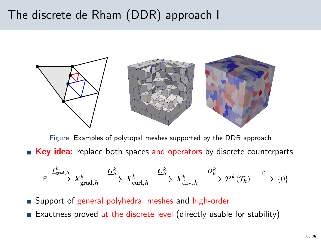## The discrete de Rham (DDR) approach I



Figure: Examples of polytopal meshes supported by the DDR approach **Key idea:** replace both spaces and operators by discrete counterparts

$$
\mathbb{R} \xrightarrow{I_{\text{grad},h}^k} \underline{X}_{\text{grad},h}^k \xrightarrow{\underline{G}_h^k} \underline{X}_{\text{curl},h}^k \xrightarrow{\underline{C}_h^k} \underline{X}_{\text{div},h}^k \xrightarrow{D_h^k} \mathcal{P}^k(\mathcal{T}_h) \xrightarrow{0} \{0\}
$$

■ Support of general polyhedral meshes and high-order

Exactness proved at the discrete level (directly usable for stability)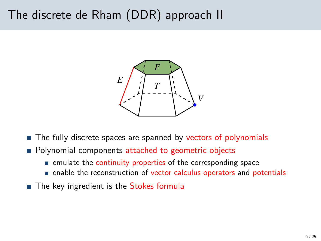## The discrete de Rham (DDR) approach II



- The fully discrete spaces are spanned by vectors of polynomials
- **Polynomial components attached to geometric objects** 
	- $\blacksquare$  emulate the continuity properties of the corresponding space
	- enable the reconstruction of vector calculus operators and potentials
- The key ingredient is the Stokes formula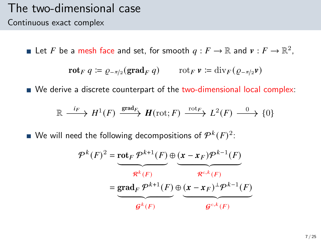#### The two-dimensional case Continuous exact complex

Let F be a mesh face and set, for smooth  $q: F \to \mathbb{R}$  and  $v: F \to \mathbb{R}^2$ ,

$$
\mathbf{rot}_F q \coloneqq \varrho_{-\pi/2}(\mathbf{grad}_F q) \qquad \text{rot}_F \, \mathbf{v} \coloneqq \mathrm{div}_F (\varrho_{-\pi/2} \mathbf{v})
$$

■ We derive a discrete counterpart of the two-dimensional local complex:

$$
\mathbb{R} \xrightarrow{i_F} H^1(F) \xrightarrow{\text{grad}_F} H(\text{rot}; F) \xrightarrow{\text{rot}_F} L^2(F) \xrightarrow{0} \{0\}
$$

We will need the following decompositions of  $\mathcal{P}^k(F)^2$ :

$$
\mathcal{P}^{k}(F)^{2} = \underbrace{\text{rot}_{F} \mathcal{P}^{k+1}(F)}_{\mathcal{R}^{k}(F)} \oplus \underbrace{(\mathbf{x} - \mathbf{x}_{F}) \mathcal{P}^{k-1}(F)}_{\mathcal{R}^{c,k}(F)}
$$
\n
$$
= \underbrace{\text{grad}_{F} \mathcal{P}^{k+1}(F)}_{\mathcal{G}^{k}(F)} \oplus \underbrace{(\mathbf{x} - \mathbf{x}_{F})^{\perp} \mathcal{P}^{k-1}(F)}_{\mathcal{G}^{c,k}(F)}
$$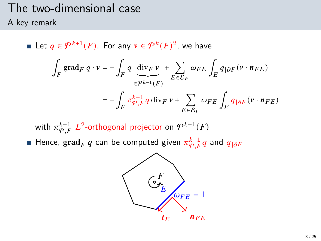# The two-dimensional case

A key remark

Let  $q \in \mathcal{P}^{k+1}(F)$ . For any  $v \in \mathcal{P}^k(F)^2$ , we have ∫  $\int\limits_F\, \mathrm{grad}_F\ q\cdot v = -\, \int\,$  $\int_F q \, \text{div}_F v$  $\widetilde{\epsilon^{p^{k-1}}(F)}$ + Õ  $E\overline{\epsilon}\overline{\mathcal{E}}_F$  $\omega_{FE}\int_E q_{|\partial F}(\mathbf{v}\cdot\mathbf{n}_{FE})$  $=-$  /  $\int_{F} \pi \frac{k-1}{\varphi} q \, \mathrm{div}_F \, \nu + \sum_{F \subset S}$  $E \overline{\epsilon} \overline{\mathcal{E}}_F$  $\omega_{FE} \int_E q_{|\partial F} (v \cdot n_{FE})$ 

with  $\pi^{k-1}_{\mathcal{P},F}$   $L^2$ -orthogonal projector on  $\mathcal{P}^{k-1}(F)$ Hence,  $\operatorname{grad}_F q$  can be computed given  $\pi^{k-1}_{\mathcal{P},F} q$  and  $q_{|\partial F}$ 

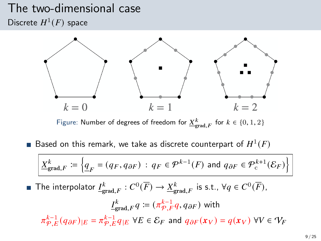### The two-dimensional case Discrete  $H^1(F)$  space



Figure: Number of degrees of freedom for  $\underline{X}^k_{\text{grad},F}$  for  $k \in \{0,1,2\}$ 

Based on this remark, we take as discrete counterpart of  $H^1(F)$ 

$$
\underline{X}_{\text{grad},F}^k := \left\{ \underline{q}_F = (q_F, q_{\partial F}) \, : \, q_F \in \mathcal{P}^{k-1}(F) \text{ and } q_{\partial F} \in \mathcal{P}^{k+1}_c(\mathcal{E}_F) \right\}
$$

The interpolator  $\underline{I^k_{\text{grad},F}}:C^0(\overline{F})\to \underline{X^k_{\text{grad},F}}$  is s.t.,  $\forall q\in C^0(\overline{F}),$ 

$$
\underline{I}_{\text{grad},F}^k q := (\pi_{\mathcal{P},F}^{k-1} q, q_{\partial F}) \text{ with}
$$
\n
$$
\pi_{\mathcal{P},E}^{k-1}(q_{\partial F})_{|E} = \pi_{\mathcal{P},E}^{k-1} q_{|E} \ \forall E \in \mathcal{E}_F \text{ and } q_{\partial F}(x_V) = q(x_V) \ \forall V \in \mathcal{V}_F
$$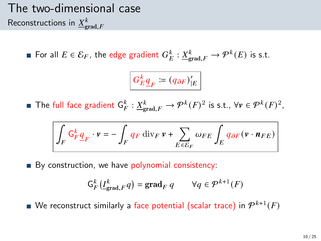# The two-dimensional case Reconstructions in  ${\underline X}^k_{\text{grad},F}$

For all  $E \in \mathcal{E}_F$ , the edge gradient  $G_E^k : \underline{X}_{\text{grad},F}^k \to \mathcal{P}^k(E)$  is s.t.

$$
G_E^k \underline{q}_F \coloneqq \left(q_{\partial F}\right)'_{|E}
$$

The full face gradient  $\mathsf{G}_{F}^k : \underline{X}_{\text{grad},F}^k \to \mathcal{P}^k(F)^2$  is s.t.,  $\forall v \in \mathcal{P}^k(F)^2$ ,

$$
\int_F \mathsf{G}^k_F \underline{q}_F \cdot v = - \int_F q_F \: \mathrm{div}_F \: v + \sum_{E \in \mathcal{E}_F} \omega_{FE} \int_E q_{\partial F} \big( v \cdot \textit{\textbf{n}}_{FE} \big)
$$

By construction, we have polynomial consistency:

$$
\mathsf{G}_{F}^{k}(\underline{I}_{\mathrm{grad},F}^{k}q)=\mathrm{grad}_{F} q \qquad \forall q \in \mathcal{P}^{k+1}(F)
$$

We reconstruct similarly a face potential (scalar trace) in  $\mathcal{P}^{k+1}(F)$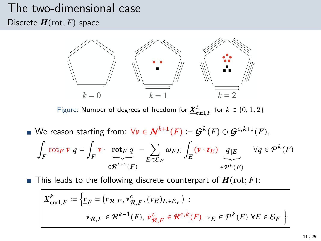# The two-dimensional case

Discrete  $H(\text{rot}; F)$  space



Figure: Number of degrees of freedom for  $\underline{X}^k_{\mathrm{curl},F}$  for  $k \in \{0,1,2\}$ 

We reason starting from:  $\forall v \in \mathcal{N}^{k+1}(F) \coloneqq \mathcal{G}^{k}(F) \oplus \mathcal{G}^{c, k+1}(F)$ , ∫  $\int_{F}$ rot $_{F}$   $\mathbf{v}$   $q = \int_{F}$  $\int_F \mathbf{v} \cdot \mathbf{rot}_F q$  $\widetilde{\in} \widetilde{\mathcal{R}^{k-1}(F)}$ − Õ  $E \overline{\epsilon} \overline{\mathcal{E}}_F$  $\omega_{FE}\int_E\left(\mathbf{v}\cdot\boldsymbol{t}_E\right)\left[q\right]\varepsilon$  $\widetilde{\epsilon^{pk}(E)}$  $\forall q \in \mathcal{P}^k(F)$ 

**This leads to the following discrete counterpart of**  $H(\text{rot}; F)$ **:** 

$$
\underline{X}_{\text{curl},F}^{k} \coloneqq \left\{ \underline{v}_{F} = (\nu_{\mathcal{R},F}, \nu_{\mathcal{R},F}^c, (\nu_{E})_{E \in \mathcal{E}_{F}}) : \right.
$$
\n
$$
\nu_{\mathcal{R},F} \in \mathcal{R}^{k-1}(F), \nu_{\mathcal{R},F}^c \in \mathcal{R}^{c,k}(F), \nu_{E} \in \mathcal{P}^k(E) \,\,\forall E \in \mathcal{E}_{F} \right\}
$$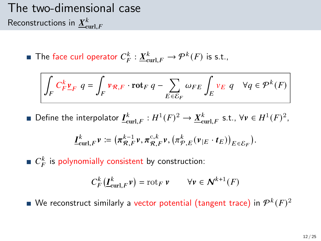# The two-dimensional case Reconstructions in  $\underline{X}^k_{\mathrm{curl},F}$

The face curl operator  $C_F^k : \underline{X}_{\text{curl},F}^k \to \mathcal{P}^k(F)$  is s.t.,

$$
\int_{F} C_{F}^{k} \underline{v}_{F} \ q = \int_{F} \nu_{\mathcal{R},F} \cdot \mathrm{rot}_{F} \ q - \sum_{E \in \mathcal{E}_{F}} \omega_{FE} \int_{E} \nu_{E} \ q \quad \forall q \in \mathcal{P}^{k}(F)
$$

Define the interpolator  $\underline{I}^k_{\text{curl},F} : H^1(F)^2 \to \underline{X}^k_{\text{curl},F}$  s.t.,  $\forall v \in H^1(F)^2$ ,

$$
\underline{I}^k_{\operatorname{curl},F}v\coloneqq\big(\pi^{{k-1}}_{\mathcal{R},F}v,\pi^{{\mathrm{c}},k}_{\mathcal{R},F}v,\big(\pi^k_{\mathcal{P},E}(v_{|E}\cdot t_E)\big)_{E\in\mathcal{E}_F}\big).
$$

 $C_F^k$  is polynomially consistent by construction:

$$
C_F^k(\underline{I}^k_{\operatorname{curl},F}\nu)=\operatorname{rot}_F\nu\qquad\forall\nu\in\textbf{\textit{N}}^{k+1}(F)
$$

We reconstruct similarly a vector potential (tangent trace) in  $\mathcal{P}^k(F)^2$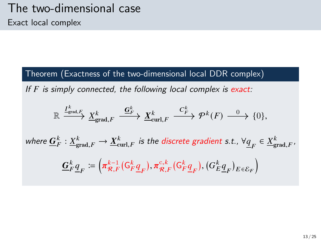Theorem (Exactness of the two-dimensional local DDR complex)

If  $F$  is simply connected, the following local complex is exact:

$$
\mathbb{R} \xrightarrow{\underline{I_{\text{grad},F}^k}} \underline{X_{\text{grad},F}^k} \xrightarrow{\underline{G_F^k}} \underline{X_{\text{curl},F}^k} \xrightarrow{C_F^k} \mathcal{P}^k(F) \xrightarrow{0} \{0\},
$$

where  $\underline{G}^k_F: \underline{X}^k_{\text{grad},F} \to \underline{X}^k_{\text{curl},F}$  is the discrete gradient s.t.,  $\forall \underline{q}_F \in \underline{X}^k_{\text{grad},F}$ ,

$$
\mathbf{\underline{G}}_F^k \underline{\underline{q}}_F \coloneqq \left( \pi_{\mathcal{R},F}^{k-1} ( \mathsf{G}_F^k \underline{\underline{q}}_F ), \pi_{\mathcal{R},F}^{c,k} ( \mathsf{G}_F^k \underline{\underline{q}}_F ), ( \mathsf{G}_E^k \underline{\underline{q}}_F )_{E \in \mathcal{E}_F} \right)
$$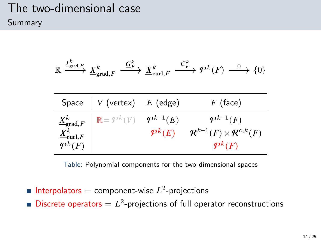### The two-dimensional case Summary

$$
\mathbb{R} \xrightarrow{I^k_{\text{grad},F}} \underline{X}^k_{\text{grad},F} \xrightarrow{\underline{G}^k_{F}} \underline{X}^k_{\text{curl},F} \xrightarrow{C^k_{F}} \mathcal{P}^k(F) \xrightarrow{0} \{0\}
$$

| Space $\mid V$ (vertex) $E$ (edge)                                                                                                                                     |                                              | $F$ (face)                                                                                         |
|------------------------------------------------------------------------------------------------------------------------------------------------------------------------|----------------------------------------------|----------------------------------------------------------------------------------------------------|
| $\left\{ \begin{array}{l} \underline{X}^k_{\mathsf{grad},F} \ \underline{X}^k_{\mathsf{curl},F} \ \mathcal{P}^k(F) \end{array} \right\} \mathbb{R} = \mathcal{P}^k(V)$ | $\mathcal{P}^{k-1}(E)$<br>$\mathcal{P}^k(E)$ | $\mathcal{P}^{k-1}(F)$<br>$\mathcal{R}^{k-1}(F) \times \mathcal{R}^{c,k}(F)$<br>$\mathcal{P}^k(F)$ |

Table: Polynomial components for the two-dimensional spaces

- Interpolators = component-wise  $L^2$ -projections
- Discrete operators  $= L<sup>2</sup>$ -projections of full operator reconstructions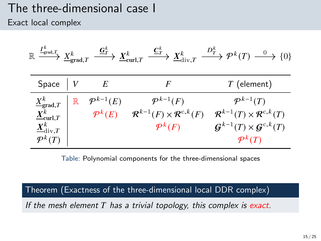### The three-dimensional case I Exact local complex

| $\underline{I}^k_{\text{grad},T}$<br>$\mathbb R$ | $\underline{X}^k_{\text{grad},T}$ | $\stackrel{\mathbf{G}^k_{T}}{\longrightarrow} \underline{X}^k_{\mathrm{curl}, T}$ | $\stackrel{\underline{\boldsymbol{C}}_T^k}{\longrightarrow} \underline{X}^k_{\mathrm{div},T}$ | $\xrightarrow{D_T^k} \mathcal{P}^k(T) \xrightarrow{0} \{0\}$ |
|--------------------------------------------------|-----------------------------------|-----------------------------------------------------------------------------------|-----------------------------------------------------------------------------------------------|--------------------------------------------------------------|
| Space                                            |                                   | E                                                                                 | F                                                                                             | $T$ (element)                                                |
| $\underline{X}^k_{\text{grad},T}$                | $\mathbb R$                       | $\mathcal{P}^{k-1}(E)$                                                            | $\mathcal{P}^{k-1}(F)$                                                                        | $\mathcal{P}^{k-1}(T)$                                       |
| $\underline{X}^k_{\textnormal{curl},T}$          |                                   | $\mathcal{P}^k(E)$                                                                | $\mathcal{R}^{k-1}(F) \times \mathcal{R}^{c,k}(F)$                                            | $\mathcal{R}^{k-1}(T)\times \mathcal{R}^{c,k}(T)$            |
| $\underline{X}^k_{\mathrm{div},T}$               |                                   |                                                                                   | $\mathcal{P}^k(F)$                                                                            | $\mathcal{G}^{k-1}(T)\times\mathcal{G}^{c,k}(T)$             |
| $\mathcal{P}^k(T)$                               |                                   |                                                                                   |                                                                                               | $\mathcal{P}^k(T)$                                           |

Table: Polynomial components for the three-dimensional spaces

Theorem (Exactness of the three-dimensional local DDR complex)

If the mesh element  $T$  has a trivial topology, this complex is exact.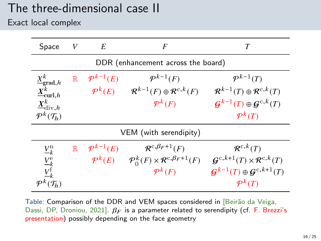# The three-dimensional case II

Exact local complex

| Space                                   | V           | E                      | F                                                                           | T                                                    |  |
|-----------------------------------------|-------------|------------------------|-----------------------------------------------------------------------------|------------------------------------------------------|--|
| DDR (enhancement across the board)      |             |                        |                                                                             |                                                      |  |
| $\underline{X}^k_{\text{grad},h}$       | $\mathbb R$ | $\mathcal{P}^{k-1}(E)$ | $\mathcal{P}^{k-1}(F)$                                                      | $\mathcal{P}^{k-1}(T)$                               |  |
| $\underline{X}^k_{{\rm curl},h}$        |             | $\mathcal{P}^k(E)$     | $\mathcal{R}^{k-1}(F) \oplus \mathcal{R}^{c,k}(F)$                          | $\mathcal{R}^{k-1}(T) \oplus \mathcal{R}^{c,k}(T)$   |  |
| $\underline{X}^k_{\mathrm{div},h}$      |             |                        | $\mathcal{P}^k(F)$                                                          | $\mathcal{G}^{k-1}(T) \oplus \mathcal{G}^{c,k}(T)$   |  |
| $\mathcal{P}^k(\mathcal{T}_h)$          |             |                        |                                                                             | $\mathcal{P}^k(T)$                                   |  |
| VEM (with serendipity)                  |             |                        |                                                                             |                                                      |  |
| $\underline{V}_k^{\rm n}$               | $\mathbb R$ | $\mathcal{P}^{k-1}(E)$ | $\mathcal{R}^{c,\beta_F+1}(F)$                                              | $\mathcal{R}^{c,k}(T)$                               |  |
|                                         |             |                        | $\mathcal{P}^k(E)$ $\mathcal{P}_0^k(F) \times \mathcal{R}^{c,\beta_F+1}(F)$ | $\mathcal{G}^{c,k+1}(T)\times \mathcal{R}^{c,k}(T)$  |  |
| $\frac{V_k^{\text{e}}}{V_k^{\text{f}}}$ |             |                        | $\mathcal{P}^k(F)$                                                          | $\mathcal{G}^{k-1}(T) \oplus \mathcal{G}^{c,k+1}(T)$ |  |
| $\mathcal{P}^{\kappa}(\mathcal{T}_h)$   |             |                        |                                                                             | $\mathcal{P}^k(T)$                                   |  |

Table: Comparison of the DDR and VEM spaces considered in [Beirão da Veiga, Dassi, DP, Droniou, 2021].  $\beta_F$  is a parameter related to serendipity (cf. F. Brezzi's presentation) possibly depending on the face geometry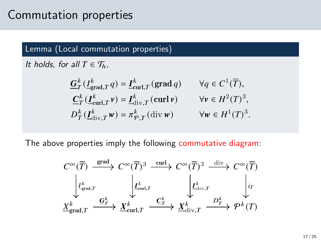## Commutation properties

#### Lemma (Local commutation properties)

It holds, for all  $T \in \mathcal{T}_h$ ,

$$
\begin{aligned}\n\underline{G}_{T}^{k}\left(\underline{I}_{\text{grad},T}^{k}q\right) &= \underline{I}_{\text{curl},T}^{k}\left(\text{grad }q\right) & \forall q \in C^{1}(\overline{T}), \\
\underline{C}_{T}^{k}\left(\underline{I}_{\text{curl},T}^{k}v\right) &= \underline{I}_{\text{div},T}^{k}\left(\text{curl }v\right) & \forall v \in H^{2}(T)^{3}, \\
D_{T}^{k}\left(\underline{I}_{\text{div},T}^{k}w\right) &= \pi_{\mathcal{P},T}^{k}\left(\text{div }w\right) & \forall w \in H^{1}(T)^{3}.\n\end{aligned}
$$

The above properties imply the following commutative diagram:

$$
C^{\infty}(\overline{T}) \xrightarrow{\text{grad}} C^{\infty}(\overline{T})^3 \xrightarrow{\text{curl}} C^{\infty}(\overline{T})^3 \xrightarrow{\text{div}} C^{\infty}(\overline{T})^3
$$
  

$$
\downarrow L_{\text{grad},T}^k \qquad \downarrow L_{\text{curl},T}^k \qquad \downarrow L_{\text{div},T}^k \qquad \downarrow \text{int}
$$
  

$$
\underline{X}_{\text{grad},T}^k \xrightarrow{\underline{G}_T^k} \underline{X}_{\text{curl},T}^k \xrightarrow{\underline{C}_T^k} \underline{X}_{\text{div},T}^k \xrightarrow{D_T^k} \mathcal{P}^k(T)
$$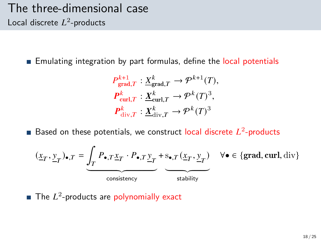### The three-dimensional case Local discrete  $L^2$ -products

**Emulating integration by part formulas, define the local potentials** 

$$
P_{\text{grad},T}^{k+1} : \underline{X}_{\text{grad},T}^{k} \to \mathcal{P}^{k+1}(T),
$$
  

$$
P_{\text{curl},T}^{k} : \underline{X}_{\text{curl},T}^{k} \to \mathcal{P}^{k}(T)^{3},
$$
  

$$
P_{\text{div},T}^{k} : \underline{X}_{\text{div},T}^{k} \to \mathcal{P}^{k}(T)^{3}
$$

Based on these potentials, we construct local discrete  $L^2$ -products

$$
(\underline{x}_T, \underline{y}_T)_{\bullet, T} = \underbrace{\int_T P_{\bullet, T} \underline{x}_T \cdot P_{\bullet, T} \underline{y}_T}_{\text{consistency}} + \underbrace{s_{\bullet, T} (\underline{x}_T, \underline{y}_T)}_{\text{stability}} \quad \forall \bullet \in \{\text{grad}, \text{curl}, \text{div}\}
$$

The  $L^2$ -products are polynomially exact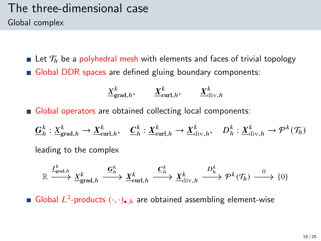### The three-dimensional case Global complex

**Let**  $\mathcal{T}_h$  be a polyhedral mesh with elements and faces of trivial topology Global DDR spaces are defined gluing boundary components:

$$
\underline{X}_{\text{grad},h}^k, \qquad \underline{X}_{\text{curl},h}^k, \qquad \underline{X}_{\text{div},h}^k
$$

Global operators are obtained collecting local components:

$$
\underline{G}_h^k: \underline{X}_{\text{grad},h}^k \to \underline{X}_{\text{curl},h}^k, \quad \underline{C}_h^k: \underline{X}_{\text{curl},h}^k \to \underline{X}_{\text{div},h}^k, \quad D_h^k: \underline{X}_{\text{div},h}^k \to \mathcal{P}^k(\mathcal{T}_h)
$$

leading to the complex

$$
\mathbb{R} \xrightarrow{I^k_{\text{grad},h}} \underline{X}^k_{\text{grad},h} \xrightarrow{\underline{\mathbf{G}}^k_h} \underline{X}^k_{\text{curl},h} \xrightarrow{\underline{\mathbf{C}}^k_h} \underline{X}^k_{\text{div},h} \xrightarrow{D^k_h} \mathcal{P}^k(\mathcal{T}_h) \xrightarrow{0} \{0\}
$$

Global  $L^2$ -products  $(\cdot, \cdot)_{\bullet, h}$  are obtained assembling element-wise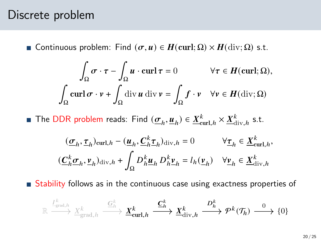#### Discrete problem

**■** Continuous problem: Find  $(σ, u) ∈ H$ (curl; Ω) ×  $H$ (div; Ω) s.t.

$$
\int_{\Omega} \sigma \cdot \tau - \int_{\Omega} u \cdot \operatorname{curl} \tau = 0 \qquad \forall \tau \in H(\operatorname{curl}; \Omega),
$$

$$
\int_{\Omega} \operatorname{curl} \sigma \cdot v + \int_{\Omega} \operatorname{div} u \operatorname{div} v = \int_{\Omega} f \cdot v \quad \forall v \in H(\operatorname{div}; \Omega)
$$

The DDR problem reads: Find  $(\underline{\sigma}_h, \underline{u}_h) \in \underline{X}_{\text{curl},h}^k \times \underline{X}_{\text{div},h}^k$  s.t.

$$
\begin{aligned} & (\underline{\sigma}_h, \underline{\tau}_h)_{\mathrm{curl},h} - (\underline{\boldsymbol{u}}_h, \underline{\boldsymbol{C}}_h^k \underline{\boldsymbol{\tau}}_h)_{\mathrm{div},h} = 0 & \forall \underline{\boldsymbol{\tau}}_h \in \underline{X}^k_{\mathrm{curl},h},\\ & (\underline{\boldsymbol{C}}_h^k \underline{\boldsymbol{\sigma}}_h, \underline{\boldsymbol{\nu}}_h)_{\mathrm{div},h} + \int_{\Omega} D^k_h \underline{\boldsymbol{u}}_h \, D^k_h \underline{\boldsymbol{\nu}}_h = l_h(\underline{\boldsymbol{\nu}}_h) & \forall \underline{\boldsymbol{\nu}}_h \in \underline{X}^k_{\mathrm{div},h} \end{aligned}
$$

Stability follows as in the continuous case using exactness properties of

$$
\mathbb{R} \xrightarrow{\frac{I^k}{\text{grad},h}} \underline{X}^k_{\text{grad},h} \xrightarrow{\underline{G}^k_h} \underline{\boldsymbol{X}}^k_{\text{curl},h} \xrightarrow{\underline{\boldsymbol{C}}^k_h} \underline{\boldsymbol{X}}^k_{\text{div},h} \xrightarrow{\boldsymbol{D}^k_h} \boldsymbol{\mathcal{P}}^k(\mathcal{T}_h) \xrightarrow{0} \{0\}
$$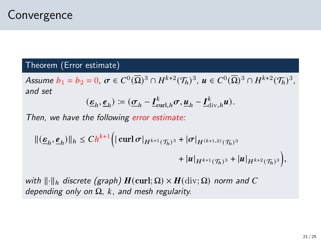#### Theorem (Error estimate)

Assume  $b_1 = b_2 = 0$ ,  $\sigma \in C^0(\overline{\Omega})^3 \cap H^{k+2}(\mathcal{T}_h)^3$ ,  $u \in C^0(\overline{\Omega})^3 \cap H^{k+2}(\mathcal{T}_h)^3$ , and set

$$
(\underline{\varepsilon}_h, \underline{\varepsilon}_h) \coloneqq (\underline{\sigma}_h - \underline{I}_{\operatorname{curl},h}^k \sigma, \underline{u}_h - \underline{I}_{\operatorname{div},h}^k u).
$$

Then, we have the following error estimate:

$$
\begin{aligned} ||(\underline{\epsilon}_h,\underline{e}_h)||_h &\leq Ch^{k+1} \Big( |\operatorname{curl} \sigma|_{H^{k+1}(\mathcal{T}_h)^3} + |\sigma|_{H^{(k+1,2)}(\mathcal{T}_h)^3} \\&\qquad + |u|_{H^{k+1}(\mathcal{T}_h)^3} + |u|_{H^{k+2}(\mathcal{T}_h)^3} \Big), \end{aligned}
$$

with  $\lVert \cdot \rVert_h$  discrete (graph)  $H(\text{curl}; \Omega) \times H(\text{div}; \Omega)$  norm and C depending only on  $\Omega$ , k, and mesh regularity.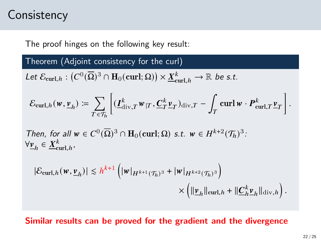## **Consistency**

The proof hinges on the following key result:

Theorem (Adjoint consistency for the curl)

Let  $\mathcal{E}_{\text{curl},h} : (C^0(\overline{\Omega})^3 \cap \mathbf{H}_0(\text{curl};\Omega)) \times \underline{X}^k_{\text{curl},h} \to \mathbb{R}$  be s.t.

$$
\mathcal{E}_{\mathrm{curl},h}(\mathbf{w},\underline{\mathbf{v}}_h) \coloneqq \sum_{T \in \mathcal{T}_h} \left[ (\underline{\mathbf{I}}_{\mathrm{div},T}^k \mathbf{w}_{|T}, \underline{\mathbf{C}}_T^k \underline{\mathbf{v}}_T)_{\mathrm{div},T} - \int_T \mathrm{curl}\,\mathbf{w} \cdot \boldsymbol{P}_{\mathrm{curl},T}^k \underline{\mathbf{v}}_T \right].
$$

Then, for all  $w \in C^0(\overline{\Omega})^3 \cap \mathbf{H}_0(\text{curl}; \Omega)$  s.t.  $w \in H^{k+2}(\mathcal{T}_h)^3$ .  $\forall \underline{v}_h \in \underline{X}_{\text{curl},h}^k$ 

$$
\begin{aligned} |\mathcal{E}_{\text{curl},h}(\boldsymbol{w},\underline{\boldsymbol{v}}_h)| &\leq h^{k+1} \left( |\boldsymbol{w}|_{H^{k+1}(\mathcal{T}_h)^3} + |\boldsymbol{w}|_{H^{k+2}(\mathcal{T}_h)^3} \right) \\ &\times \left( \|\underline{\boldsymbol{v}}_h\|_{\text{curl},h} + \|\underline{\boldsymbol{C}}_h^k \underline{\boldsymbol{v}}_h\|_{\text{div},h} \right). \end{aligned}
$$

#### Similar results can be proved for the gradient and the divergence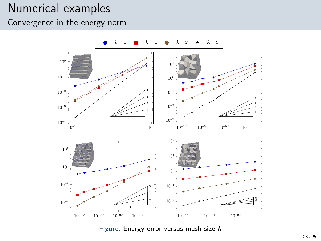### Numerical examples

Convergence in the energy norm

<span id="page-22-0"></span>

Figure: Energy error versus mesh size  $h$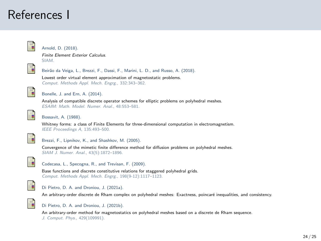### References I

<span id="page-23-1"></span>

#### Arnold, D. (2018).

Finite Element Exterior Calculus. SIAM.



Beirão da Veiga, L., Brezzi, F., Dassi, F., Marini, L. D., and Russo, A. (2018).

Lowest order virtual element approximation of magnetostatic problems. Comput. Methods Appl. Mech. Engrg., 332:343–362.

<span id="page-23-2"></span>

Bonelle, J. and Ern, A. (2014).

Analysis of compatible discrete operator schemes for elliptic problems on polyhedral meshes. ESAIM: Math. Model. Numer. Anal., 48:553–581.

<span id="page-23-0"></span>

#### Bossavit, A. (1988).

Whitney forms: a class of Finite Elements for three-dimensional computation in electromagnetism. IEEE Proceedings A, 135:493–500.



Brezzi, F., Lipnikov, K., and Shashkov, M. (2005).

Convergence of the mimetic finite difference method for diffusion problems on polyhedral meshes. SIAM J. Numer. Anal., 43(5):1872–1896.



#### Codecasa, L., Specogna, R., and Trevisan, F. (2009).

Base functions and discrete constitutive relations for staggered polyhedral grids. Comput. Methods Appl. Mech. Engrg., 198(9-12):1117–1123.



#### Di Pietro, D. A. and Droniou, J. (2021a).

An arbitrary-order discrete de Rham complex on polyhedral meshes: Exactness, poincaré inequalities, and consistency.

<span id="page-23-3"></span>

#### Di Pietro, D. A. and Droniou, J. (2021b).

An arbitrary-order method for magnetostatics on polyhedral meshes based on a discrete de Rham sequence. J. Comput. Phys., 429(109991).